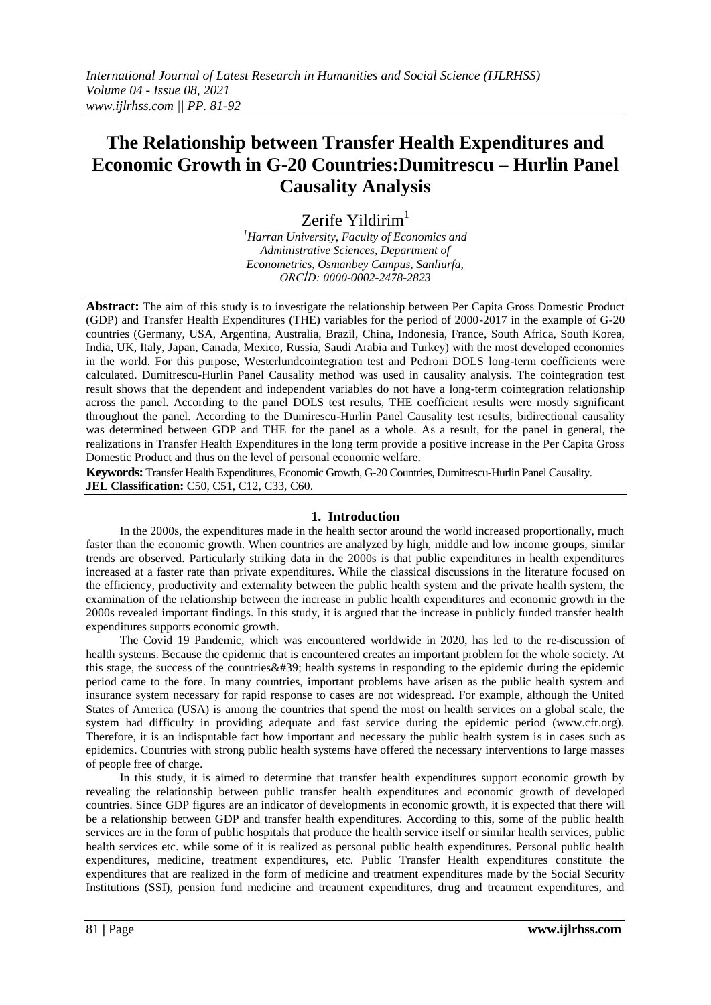# **The Relationship between Transfer Health Expenditures and Economic Growth in G-20 Countries:Dumitrescu – Hurlin Panel Causality Analysis**

Zerife Yildirim $<sup>1</sup>$ </sup>

*<sup>1</sup>Harran University, Faculty of Economics and Administrative Sciences, Department of Econometrics, Osmanbey Campus, Sanliurfa, ORCİD: 0000-0002-2478-2823*

**Abstract:** The aim of this study is to investigate the relationship between Per Capita Gross Domestic Product (GDP) and Transfer Health Expenditures (THE) variables for the period of 2000-2017 in the example of G-20 countries (Germany, USA, Argentina, Australia, Brazil, China, Indonesia, France, South Africa, South Korea, India, UK, Italy, Japan, Canada, Mexico, Russia, Saudi Arabia and Turkey) with the most developed economies in the world. For this purpose, Westerlundcointegration test and Pedroni DOLS long-term coefficients were calculated. Dumitrescu-Hurlin Panel Causality method was used in causality analysis. The cointegration test result shows that the dependent and independent variables do not have a long-term cointegration relationship across the panel. According to the panel DOLS test results, THE coefficient results were mostly significant throughout the panel. According to the Dumirescu-Hurlin Panel Causality test results, bidirectional causality was determined between GDP and THE for the panel as a whole. As a result, for the panel in general, the realizations in Transfer Health Expenditures in the long term provide a positive increase in the Per Capita Gross Domestic Product and thus on the level of personal economic welfare.

**Keywords:** Transfer Health Expenditures, Economic Growth, G-20 Countries, Dumitrescu-Hurlin Panel Causality. **JEL Classification:** C50, C51, C12, C33, C60.

# **1. Introduction**

In the 2000s, the expenditures made in the health sector around the world increased proportionally, much faster than the economic growth. When countries are analyzed by high, middle and low income groups, similar trends are observed. Particularly striking data in the 2000s is that public expenditures in health expenditures increased at a faster rate than private expenditures. While the classical discussions in the literature focused on the efficiency, productivity and externality between the public health system and the private health system, the examination of the relationship between the increase in public health expenditures and economic growth in the 2000s revealed important findings. In this study, it is argued that the increase in publicly funded transfer health expenditures supports economic growth.

The Covid 19 Pandemic, which was encountered worldwide in 2020, has led to the re-discussion of health systems. Because the epidemic that is encountered creates an important problem for the whole society. At this stage, the success of the countries  $&\#39$ ; health systems in responding to the epidemic during the epidemic period came to the fore. In many countries, important problems have arisen as the public health system and insurance system necessary for rapid response to cases are not widespread. For example, although the United States of America (USA) is among the countries that spend the most on health services on a global scale, the system had difficulty in providing adequate and fast service during the epidemic period (www.cfr.org). Therefore, it is an indisputable fact how important and necessary the public health system is in cases such as epidemics. Countries with strong public health systems have offered the necessary interventions to large masses of people free of charge.

In this study, it is aimed to determine that transfer health expenditures support economic growth by revealing the relationship between public transfer health expenditures and economic growth of developed countries. Since GDP figures are an indicator of developments in economic growth, it is expected that there will be a relationship between GDP and transfer health expenditures. According to this, some of the public health services are in the form of public hospitals that produce the health service itself or similar health services, public health services etc. while some of it is realized as personal public health expenditures. Personal public health expenditures, medicine, treatment expenditures, etc. Public Transfer Health expenditures constitute the expenditures that are realized in the form of medicine and treatment expenditures made by the Social Security Institutions (SSI), pension fund medicine and treatment expenditures, drug and treatment expenditures, and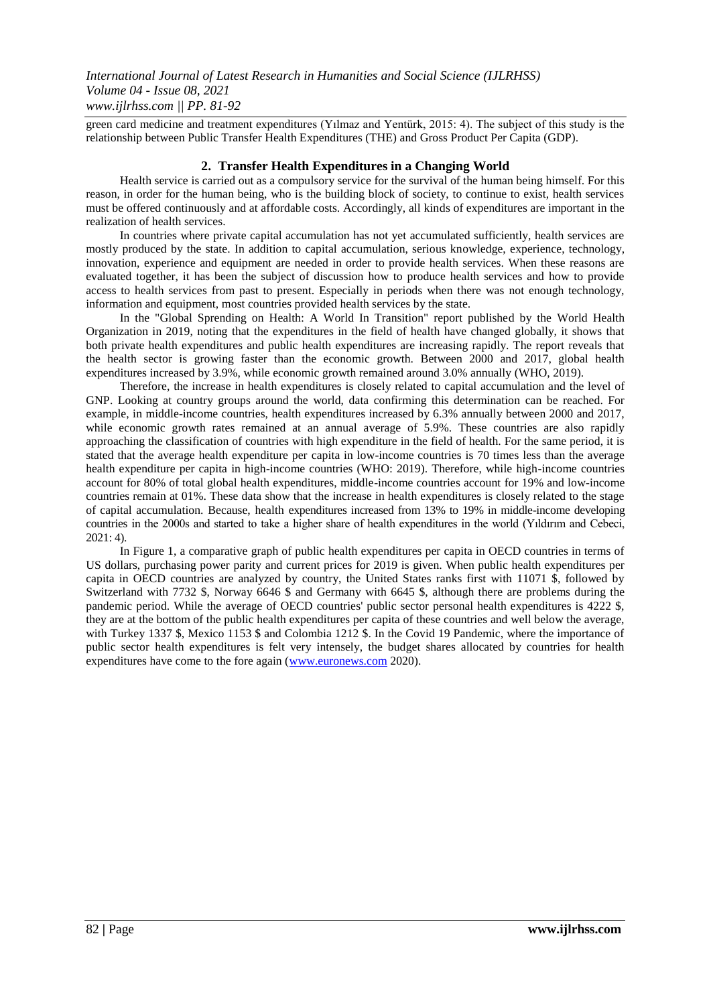green card medicine and treatment expenditures (Yılmaz and Yentürk, 2015: 4). The subject of this study is the relationship between Public Transfer Health Expenditures (THE) and Gross Product Per Capita (GDP).

#### **2. Transfer Health Expenditures in a Changing World**

Health service is carried out as a compulsory service for the survival of the human being himself. For this reason, in order for the human being, who is the building block of society, to continue to exist, health services must be offered continuously and at affordable costs. Accordingly, all kinds of expenditures are important in the realization of health services.

In countries where private capital accumulation has not yet accumulated sufficiently, health services are mostly produced by the state. In addition to capital accumulation, serious knowledge, experience, technology, innovation, experience and equipment are needed in order to provide health services. When these reasons are evaluated together, it has been the subject of discussion how to produce health services and how to provide access to health services from past to present. Especially in periods when there was not enough technology, information and equipment, most countries provided health services by the state.

In the "Global Sprending on Health: A World In Transition" report published by the World Health Organization in 2019, noting that the expenditures in the field of health have changed globally, it shows that both private health expenditures and public health expenditures are increasing rapidly. The report reveals that the health sector is growing faster than the economic growth. Between 2000 and 2017, global health expenditures increased by 3.9%, while economic growth remained around 3.0% annually (WHO, 2019).

Therefore, the increase in health expenditures is closely related to capital accumulation and the level of GNP. Looking at country groups around the world, data confirming this determination can be reached. For example, in middle-income countries, health expenditures increased by 6.3% annually between 2000 and 2017, while economic growth rates remained at an annual average of 5.9%. These countries are also rapidly approaching the classification of countries with high expenditure in the field of health. For the same period, it is stated that the average health expenditure per capita in low-income countries is 70 times less than the average health expenditure per capita in high-income countries (WHO: 2019). Therefore, while high-income countries account for 80% of total global health expenditures, middle-income countries account for 19% and low-income countries remain at 01%. These data show that the increase in health expenditures is closely related to the stage of capital accumulation. Because, health expenditures increased from 13% to 19% in middle-income developing countries in the 2000s and started to take a higher share of health expenditures in the world (Yıldırım and Cebeci, 2021: 4).

In Figure 1, a comparative graph of public health expenditures per capita in OECD countries in terms of US dollars, purchasing power parity and current prices for 2019 is given. When public health expenditures per capita in OECD countries are analyzed by country, the United States ranks first with 11071 \$, followed by Switzerland with 7732 \$, Norway 6646 \$ and Germany with 6645 \$, although there are problems during the pandemic period. While the average of OECD countries' public sector personal health expenditures is 4222 \$, they are at the bottom of the public health expenditures per capita of these countries and well below the average, with Turkey 1337 \$, Mexico 1153 \$ and Colombia 1212 \$. In the Covid 19 Pandemic, where the importance of public sector health expenditures is felt very intensely, the budget shares allocated by countries for health expenditures have come to the fore again [\(www.euronews.com](http://www.euronews.com/) 2020).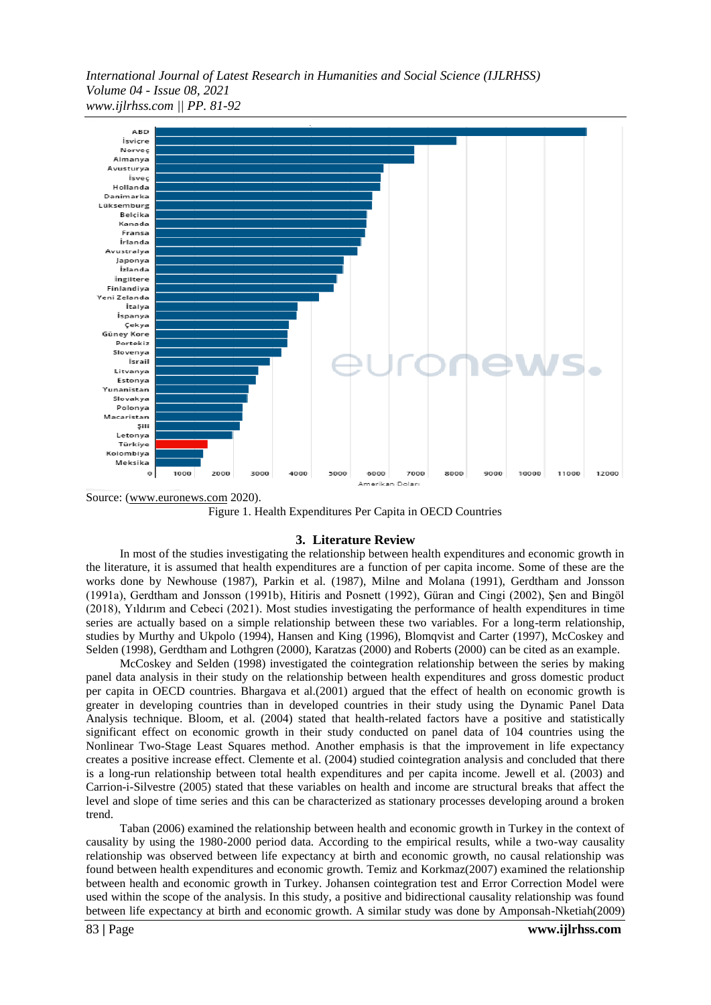

Source: [\(www.euronews.com](http://www.euronews.com/) 2020).

Figure 1. Health Expenditures Per Capita in OECD Countries

#### **3. Literature Review**

In most of the studies investigating the relationship between health expenditures and economic growth in the literature, it is assumed that health expenditures are a function of per capita income. Some of these are the works done by Newhouse (1987), Parkin et al. (1987), Milne and Molana (1991), Gerdtham and Jonsson (1991a), Gerdtham and Jonsson (1991b), Hitiris and Posnett (1992), Güran and Cingi (2002), Şen and Bingöl (2018), Yıldırım and Cebeci (2021). Most studies investigating the performance of health expenditures in time series are actually based on a simple relationship between these two variables. For a long-term relationship, studies by Murthy and Ukpolo (1994), Hansen and King (1996), Blomqvist and Carter (1997), McCoskey and Selden (1998), Gerdtham and Lothgren (2000), Karatzas (2000) and Roberts (2000) can be cited as an example.

McCoskey and Selden (1998) investigated the cointegration relationship between the series by making panel data analysis in their study on the relationship between health expenditures and gross domestic product per capita in OECD countries. Bhargava et al.(2001) argued that the effect of health on economic growth is greater in developing countries than in developed countries in their study using the Dynamic Panel Data Analysis technique. Bloom, et al. (2004) stated that health-related factors have a positive and statistically significant effect on economic growth in their study conducted on panel data of 104 countries using the Nonlinear Two-Stage Least Squares method. Another emphasis is that the improvement in life expectancy creates a positive increase effect. Clemente et al. (2004) studied cointegration analysis and concluded that there is a long-run relationship between total health expenditures and per capita income. Jewell et al. (2003) and Carrion-i-Silvestre (2005) stated that these variables on health and income are structural breaks that affect the level and slope of time series and this can be characterized as stationary processes developing around a broken trend.

Taban (2006) examined the relationship between health and economic growth in Turkey in the context of causality by using the 1980-2000 period data. According to the empirical results, while a two-way causality relationship was observed between life expectancy at birth and economic growth, no causal relationship was found between health expenditures and economic growth. Temiz and Korkmaz(2007) examined the relationship between health and economic growth in Turkey. Johansen cointegration test and Error Correction Model were used within the scope of the analysis. In this study, a positive and bidirectional causality relationship was found between life expectancy at birth and economic growth. A similar study was done by Amponsah-Nketiah(2009)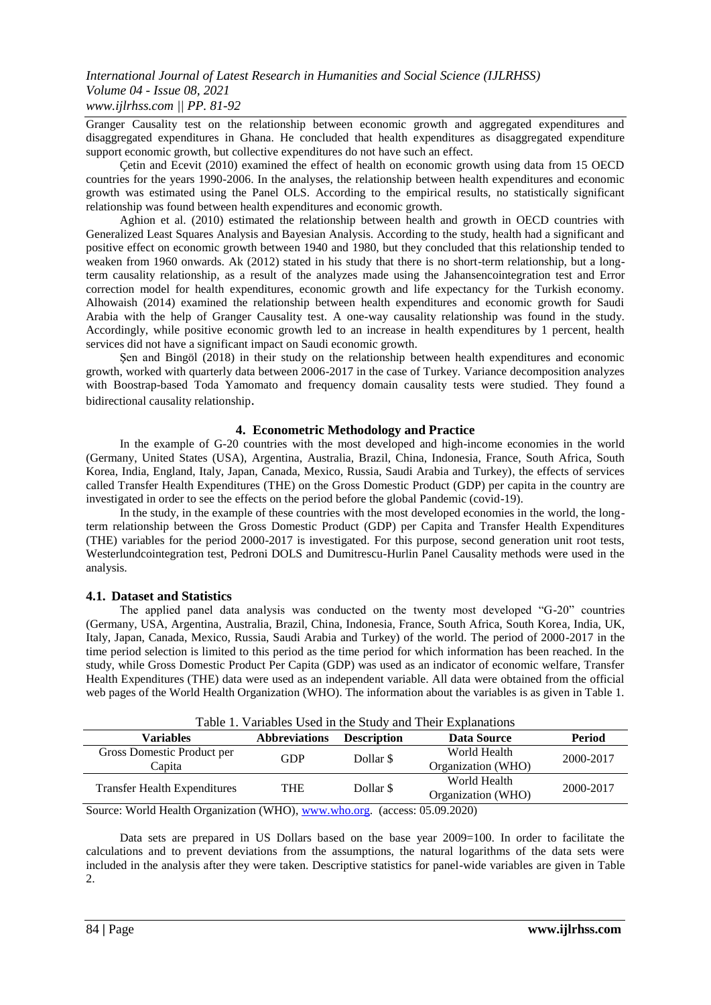Granger Causality test on the relationship between economic growth and aggregated expenditures and disaggregated expenditures in Ghana. He concluded that health expenditures as disaggregated expenditure support economic growth, but collective expenditures do not have such an effect.

Çetin and Ecevit (2010) examined the effect of health on economic growth using data from 15 OECD countries for the years 1990-2006. In the analyses, the relationship between health expenditures and economic growth was estimated using the Panel OLS. According to the empirical results, no statistically significant relationship was found between health expenditures and economic growth.

Aghion et al. (2010) estimated the relationship between health and growth in OECD countries with Generalized Least Squares Analysis and Bayesian Analysis. According to the study, health had a significant and positive effect on economic growth between 1940 and 1980, but they concluded that this relationship tended to weaken from 1960 onwards. Ak (2012) stated in his study that there is no short-term relationship, but a longterm causality relationship, as a result of the analyzes made using the Jahansencointegration test and Error correction model for health expenditures, economic growth and life expectancy for the Turkish economy. Alhowaish (2014) examined the relationship between health expenditures and economic growth for Saudi Arabia with the help of Granger Causality test. A one-way causality relationship was found in the study. Accordingly, while positive economic growth led to an increase in health expenditures by 1 percent, health services did not have a significant impact on Saudi economic growth.

Şen and Bingöl (2018) in their study on the relationship between health expenditures and economic growth, worked with quarterly data between 2006-2017 in the case of Turkey. Variance decomposition analyzes with Boostrap-based Toda Yamomato and frequency domain causality tests were studied. They found a bidirectional causality relationship.

# **4. Econometric Methodology and Practice**

In the example of G-20 countries with the most developed and high-income economies in the world (Germany, United States (USA), Argentina, Australia, Brazil, China, Indonesia, France, South Africa, South Korea, India, England, Italy, Japan, Canada, Mexico, Russia, Saudi Arabia and Turkey), the effects of services called Transfer Health Expenditures (THE) on the Gross Domestic Product (GDP) per capita in the country are investigated in order to see the effects on the period before the global Pandemic (covid-19).

In the study, in the example of these countries with the most developed economies in the world, the longterm relationship between the Gross Domestic Product (GDP) per Capita and Transfer Health Expenditures (THE) variables for the period 2000-2017 is investigated. For this purpose, second generation unit root tests, Westerlundcointegration test, Pedroni DOLS and Dumitrescu-Hurlin Panel Causality methods were used in the analysis.

# **4.1. Dataset and Statistics**

The applied panel data analysis was conducted on the twenty most developed "G-20" countries (Germany, USA, Argentina, Australia, Brazil, China, Indonesia, France, South Africa, South Korea, India, UK, Italy, Japan, Canada, Mexico, Russia, Saudi Arabia and Turkey) of the world. The period of 2000-2017 in the time period selection is limited to this period as the time period for which information has been reached. In the study, while Gross Domestic Product Per Capita (GDP) was used as an indicator of economic welfare, Transfer Health Expenditures (THE) data were used as an independent variable. All data were obtained from the official web pages of the World Health Organization (WHO). The information about the variables is as given in Table 1.

| Table 1. Variables Used in the Study and Their Explanations |                      |                    |                                    |           |  |
|-------------------------------------------------------------|----------------------|--------------------|------------------------------------|-----------|--|
| Variables                                                   | <b>Abbreviations</b> | <b>Description</b> | Data Source                        | Period    |  |
| Gross Domestic Product per<br>Capita                        | <b>GDP</b>           | Dollar \$          | World Health<br>Organization (WHO) | 2000-2017 |  |
| <b>Transfer Health Expenditures</b>                         | <b>THE</b>           | Dollar \$          | World Health<br>Organization (WHO) | 2000-2017 |  |
|                                                             | $-1$                 |                    | $\sim$ $ \sim$ $ \sim$ $\sim$      |           |  |

Source: World Health Organization (WHO)[, www.who.org.](http://www.who.org/) (access: 05.09.2020)

Data sets are prepared in US Dollars based on the base year 2009=100. In order to facilitate the calculations and to prevent deviations from the assumptions, the natural logarithms of the data sets were included in the analysis after they were taken. Descriptive statistics for panel-wide variables are given in Table 2.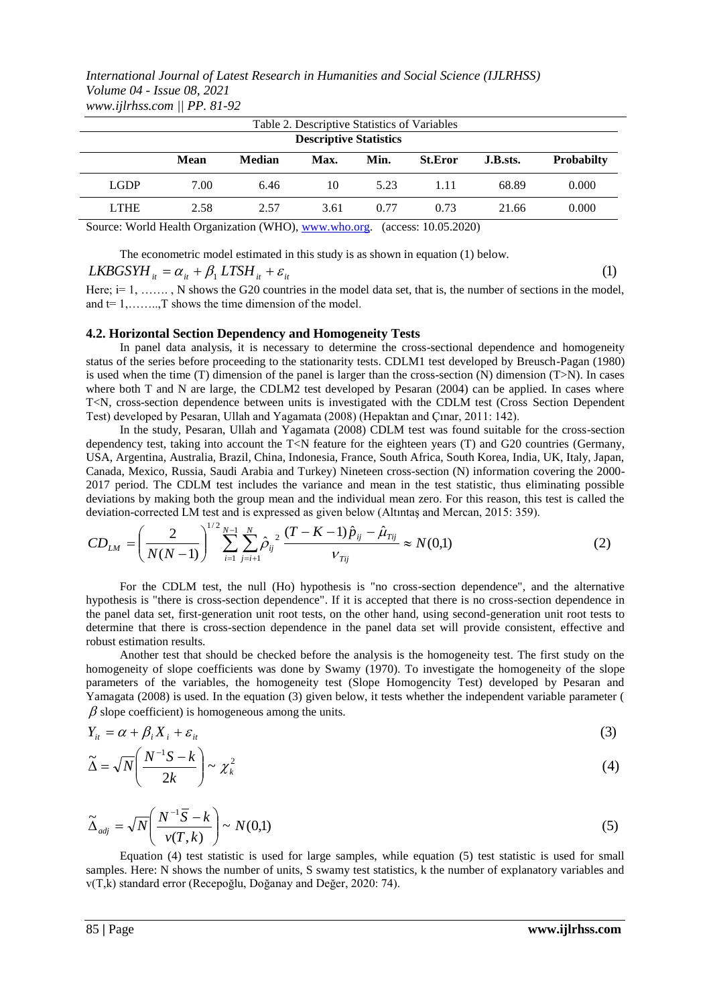|                                                       | Table 2. Descriptive Statistics of Variables |        |      |      |                                |          |                   |
|-------------------------------------------------------|----------------------------------------------|--------|------|------|--------------------------------|----------|-------------------|
| <b>Descriptive Statistics</b>                         |                                              |        |      |      |                                |          |                   |
|                                                       | Mean                                         | Median | Max. | Min. | <b>St.Eror</b>                 | J.B.sts. | <b>Probabilty</b> |
| <b>LGDP</b>                                           | 7.00                                         | 6.46   | 10   | 5.23 | 1.11                           | 68.89    | 0.000             |
| <b>LTHE</b>                                           | 2.58                                         | 2.57   | 3.61 | 0.77 | 0.73                           | 21.66    | 0.000             |
| Source: World Health Organization (WHO), www.who.org. |                                              |        |      |      | $(\text{access: } 10.05.2020)$ |          |                   |

The econometric model estimated in this study is as shown in equation (1) below.

$$
LKBGSYM_{ii} = \alpha_{it} + \beta_1 LTSH_{it} + \varepsilon_{it}
$$
\n(1)

Here;  $i=1, \ldots, N$  shows the G20 countries in the model data set, that is, the number of sections in the model, and  $t=1, \ldots, T$  shows the time dimension of the model.

#### **4.2. Horizontal Section Dependency and Homogeneity Tests**

In panel data analysis, it is necessary to determine the cross-sectional dependence and homogeneity status of the series before proceeding to the stationarity tests. CDLM1 test developed by Breusch-Pagan (1980) is used when the time (T) dimension of the panel is larger than the cross-section (N) dimension  $(T>N)$ . In cases where both T and N are large, the CDLM2 test developed by Pesaran (2004) can be applied. In cases where T<N, cross-section dependence between units is investigated with the CDLM test (Cross Section Dependent Test) developed by Pesaran, Ullah and Yagamata (2008) (Hepaktan and Çınar, 2011: 142).

In the study, Pesaran, Ullah and Yagamata (2008) CDLM test was found suitable for the cross-section dependency test, taking into account the T<N feature for the eighteen years (T) and G20 countries (Germany, USA, Argentina, Australia, Brazil, China, Indonesia, France, South Africa, South Korea, India, UK, Italy, Japan, Canada, Mexico, Russia, Saudi Arabia and Turkey) Nineteen cross-section (N) information covering the 2000- 2017 period. The CDLM test includes the variance and mean in the test statistic, thus eliminating possible deviations by making both the group mean and the individual mean zero. For this reason, this test is called the deviation-corrected LM test and is expressed as given below (Altıntaş and Mercan, 2015: 359).

$$
CD_{LM} = \left(\frac{2}{N(N-1)}\right)^{1/2} \sum_{i=1}^{N-1} \sum_{j=i+1}^{N} \hat{\rho}_{ij}^{2} \frac{(T-K-1)\hat{p}_{ij} - \hat{\mu}_{Tij}}{v_{Tij}} \approx N(0,1)
$$
(2)

For the CDLM test, the null (Ho) hypothesis is "no cross-section dependence", and the alternative hypothesis is "there is cross-section dependence". If it is accepted that there is no cross-section dependence in the panel data set, first-generation unit root tests, on the other hand, using second-generation unit root tests to determine that there is cross-section dependence in the panel data set will provide consistent, effective and robust estimation results.

Another test that should be checked before the analysis is the homogeneity test. The first study on the homogeneity of slope coefficients was done by Swamy (1970). To investigate the homogeneity of the slope parameters of the variables, the homogeneity test (Slope Homogencity Test) developed by Pesaran and Yamagata (2008) is used. In the equation (3) given below, it tests whether the independent variable parameter (  $\beta$  slope coefficient) is homogeneous among the units.

$$
Y_{it} = \alpha + \beta_i X_i + \varepsilon_{it} \tag{3}
$$

$$
\widetilde{\Delta} = \sqrt{N} \left( \frac{N^{-1}S - k}{2k} \right) \sim \chi_k^2 \tag{4}
$$

$$
\widetilde{\Delta}_{\text{adj}} = \sqrt{N} \left( \frac{N^{-1} \overline{S} - k}{\nu(T, k)} \right) \sim N(0, 1) \tag{5}
$$

Equation (4) test statistic is used for large samples, while equation (5) test statistic is used for small samples. Here: N shows the number of units, S swamy test statistics, k the number of explanatory variables and v(T,k) standard error (Recepoğlu, Doğanay and Değer, 2020: 74).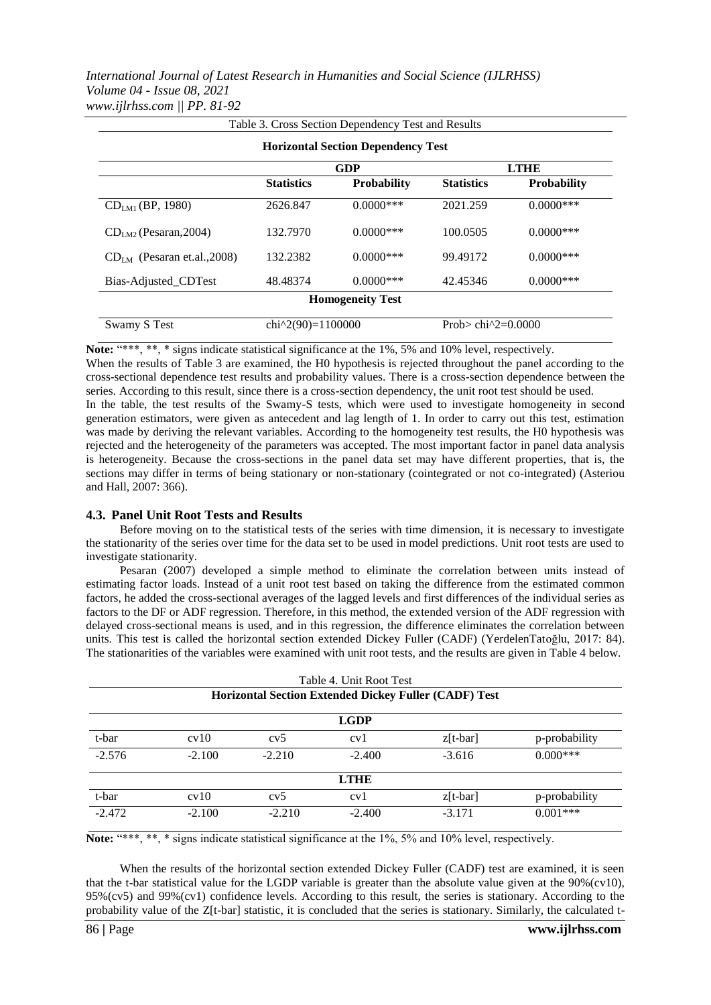|                               |                                                 | Table 3. Cross Section Dependency Test and Results |                          |                    |  |
|-------------------------------|-------------------------------------------------|----------------------------------------------------|--------------------------|--------------------|--|
|                               |                                                 | <b>Horizontal Section Dependency Test</b>          |                          |                    |  |
|                               | <b>GDP</b><br><b>LTHE</b>                       |                                                    |                          |                    |  |
|                               | <b>Statistics</b>                               | <b>Probability</b>                                 | <b>Statistics</b>        | <b>Probability</b> |  |
| $CDLM1$ (BP, 1980)            | 2626.847                                        | $0.0000$ ***                                       | 2021.259                 | $0.0000$ ***       |  |
| $CDLM2$ (Pesaran, 2004)       | 132.7970                                        | $0.0000$ ***                                       | 100.0505                 | $0.0000$ ***       |  |
| $CDIM$ (Pesaran et.al., 2008) | 132.2382                                        | $0.0000$ ***                                       | 99.49172                 | $0.0000$ ***       |  |
| Bias-Adjusted_CDTest          | 48.48374                                        | $0.0000$ ***                                       | 42.45346                 | $0.0000$ ***       |  |
| <b>Homogeneity Test</b>       |                                                 |                                                    |                          |                    |  |
| Swamy S Test                  | chi <sup><math>\wedge</math>2(90)=1100000</sup> |                                                    | Prob> chi $^{2}2=0.0000$ |                    |  |

Note: "\*\*\*, \*\*, \* signs indicate statistical significance at the 1%, 5% and 10% level, respectively.

When the results of Table 3 are examined, the H0 hypothesis is rejected throughout the panel according to the cross-sectional dependence test results and probability values. There is a cross-section dependence between the series. According to this result, since there is a cross-section dependency, the unit root test should be used.

In the table, the test results of the Swamy-S tests, which were used to investigate homogeneity in second generation estimators, were given as antecedent and lag length of 1. In order to carry out this test, estimation was made by deriving the relevant variables. According to the homogeneity test results, the H0 hypothesis was rejected and the heterogeneity of the parameters was accepted. The most important factor in panel data analysis is heterogeneity. Because the cross-sections in the panel data set may have different properties, that is, the sections may differ in terms of being stationary or non-stationary (cointegrated or not co-integrated) (Asteriou and Hall, 2007: 366).

#### **4.3. Panel Unit Root Tests and Results**

Before moving on to the statistical tests of the series with time dimension, it is necessary to investigate the stationarity of the series over time for the data set to be used in model predictions. Unit root tests are used to investigate stationarity.

Pesaran (2007) developed a simple method to eliminate the correlation between units instead of estimating factor loads. Instead of a unit root test based on taking the difference from the estimated common factors, he added the cross-sectional averages of the lagged levels and first differences of the individual series as factors to the DF or ADF regression. Therefore, in this method, the extended version of the ADF regression with delayed cross-sectional means is used, and in this regression, the difference eliminates the correlation between units. This test is called the horizontal section extended Dickey Fuller (CADF) (YerdelenTatoğlu, 2017: 84). The stationarities of the variables were examined with unit root tests, and the results are given in Table 4 below.

|             |             |          | Table 4. Unit Root Test | <b>Horizontal Section Extended Dickey Fuller (CADF) Test</b> |               |  |
|-------------|-------------|----------|-------------------------|--------------------------------------------------------------|---------------|--|
| <b>LGDP</b> |             |          |                         |                                                              |               |  |
| t-bar       | cv10        | cv5      | cv1                     | $z[t-bar]$                                                   | p-probability |  |
| $-2.576$    | $-2.100$    | $-2.210$ | $-2.400$                | $-3.616$                                                     | $0.000***$    |  |
|             | <b>LTHE</b> |          |                         |                                                              |               |  |
| t-bar       | cv10        | cv5      | cv1                     | $z[t-bar]$                                                   | p-probability |  |
| $-2.472$    | $-2.100$    | $-2.210$ | $-2.400$                | $-3.171$                                                     | $0.001***$    |  |

**Note:** "\*\*\*, \*\*, \* signs indicate statistical significance at the 1%, 5% and 10% level, respectively.

When the results of the horizontal section extended Dickey Fuller (CADF) test are examined, it is seen that the t-bar statistical value for the LGDP variable is greater than the absolute value given at the  $90\%$  (cv10), 95%(cv5) and 99%(cv1) confidence levels. According to this result, the series is stationary. According to the probability value of the Z[t-bar] statistic, it is concluded that the series is stationary. Similarly, the calculated t-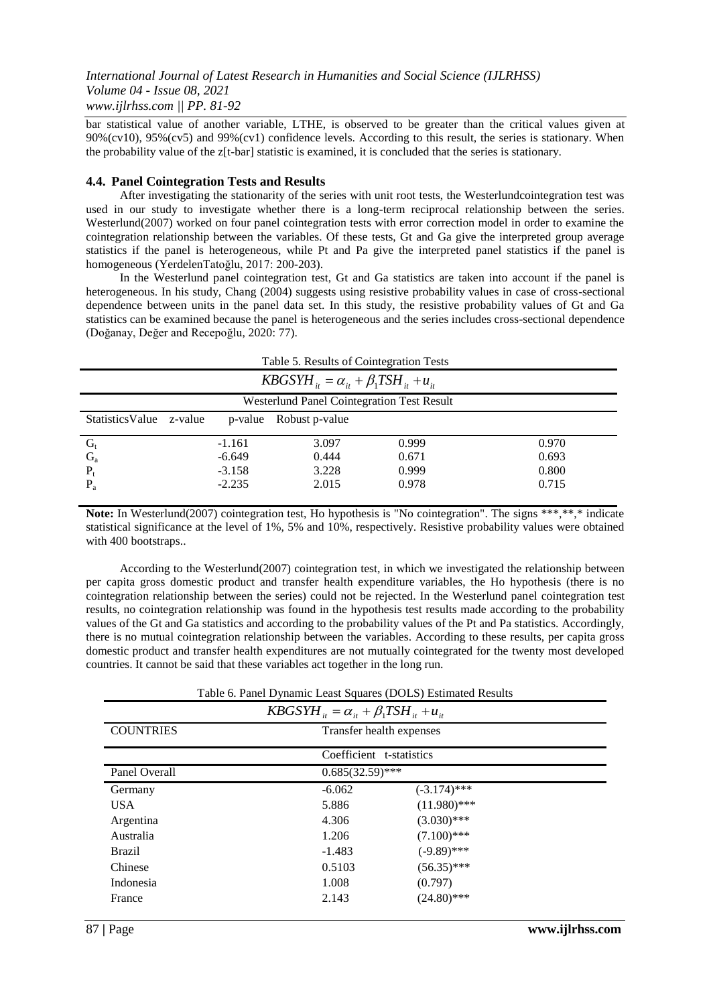bar statistical value of another variable, LTHE, is observed to be greater than the critical values given at 90%(cv10), 95%(cv5) and 99%(cv1) confidence levels. According to this result, the series is stationary. When the probability value of the z[t-bar] statistic is examined, it is concluded that the series is stationary.

#### **4.4. Panel Cointegration Tests and Results**

After investigating the stationarity of the series with unit root tests, the Westerlundcointegration test was used in our study to investigate whether there is a long-term reciprocal relationship between the series. Westerlund(2007) worked on four panel cointegration tests with error correction model in order to examine the cointegration relationship between the variables. Of these tests, Gt and Ga give the interpreted group average statistics if the panel is heterogeneous, while Pt and Pa give the interpreted panel statistics if the panel is homogeneous (YerdelenTatoğlu, 2017: 200-203).

In the Westerlund panel cointegration test, Gt and Ga statistics are taken into account if the panel is heterogeneous. In his study, Chang (2004) suggests using resistive probability values in case of cross-sectional dependence between units in the panel data set. In this study, the resistive probability values of Gt and Ga statistics can be examined because the panel is heterogeneous and the series includes cross-sectional dependence (Doğanay, Değer and Recepoğlu, 2020: 77).

| Table 5. Results of Cointegration Tests                 |                                      |          |       |       |       |  |  |
|---------------------------------------------------------|--------------------------------------|----------|-------|-------|-------|--|--|
| $KBGSYH_{ii} = \alpha_{ii} + \beta_1 TSH_{ii} + u_{ii}$ |                                      |          |       |       |       |  |  |
| <b>Westerlund Panel Cointegration Test Result</b>       |                                      |          |       |       |       |  |  |
| <b>Statistics Value</b>                                 | Robust p-value<br>z-value<br>p-value |          |       |       |       |  |  |
| $G_t$                                                   |                                      | $-1.161$ | 3.097 | 0.999 | 0.970 |  |  |
| $G_{a}$                                                 |                                      | $-6.649$ | 0.444 | 0.671 | 0.693 |  |  |
| $P_t$                                                   |                                      | $-3.158$ | 3.228 | 0.999 | 0.800 |  |  |
| $P_{a}$                                                 |                                      | $-2.235$ | 2.015 | 0.978 | 0.715 |  |  |

Note: In Westerlund(2007) cointegration test, Ho hypothesis is "No cointegration". The signs \*\*\*,\*\*,\* indicate statistical significance at the level of 1%, 5% and 10%, respectively. Resistive probability values were obtained with 400 bootstraps..

According to the Westerlund(2007) cointegration test, in which we investigated the relationship between per capita gross domestic product and transfer health expenditure variables, the Ho hypothesis (there is no cointegration relationship between the series) could not be rejected. In the Westerlund panel cointegration test results, no cointegration relationship was found in the hypothesis test results made according to the probability values of the Gt and Ga statistics and according to the probability values of the Pt and Pa statistics. Accordingly, there is no mutual cointegration relationship between the variables. According to these results, per capita gross domestic product and transfer health expenditures are not mutually cointegrated for the twenty most developed countries. It cannot be said that these variables act together in the long run.

|  | Table 6. Panel Dynamic Least Squares (DOLS) Estimated Results |
|--|---------------------------------------------------------------|
|  |                                                               |

| $KBGSYH_{it} = \alpha_{it} + \beta_1 TSH_{it} + u_{it}$ |                          |                |  |  |  |
|---------------------------------------------------------|--------------------------|----------------|--|--|--|
| <b>COUNTRIES</b>                                        | Transfer health expenses |                |  |  |  |
|                                                         | Coefficient t-statistics |                |  |  |  |
| Panel Overall                                           | $0.685(32.59)$ ***       |                |  |  |  |
| Germany                                                 | $-6.062$                 | $(-3.174)$ *** |  |  |  |
| USA.                                                    | 5.886                    | $(11.980)$ *** |  |  |  |
| Argentina                                               | 4.306                    | $(3.030)$ ***  |  |  |  |
| Australia                                               | 1.206                    | $(7.100)$ ***  |  |  |  |
| <b>Brazil</b>                                           | $-1.483$                 | $(-9.89)$ ***  |  |  |  |
| Chinese                                                 | 0.5103                   | $(56.35)$ ***  |  |  |  |
| Indonesia                                               | 1.008                    | (0.797)        |  |  |  |
| France                                                  | 2.143                    | $(24.80)$ ***  |  |  |  |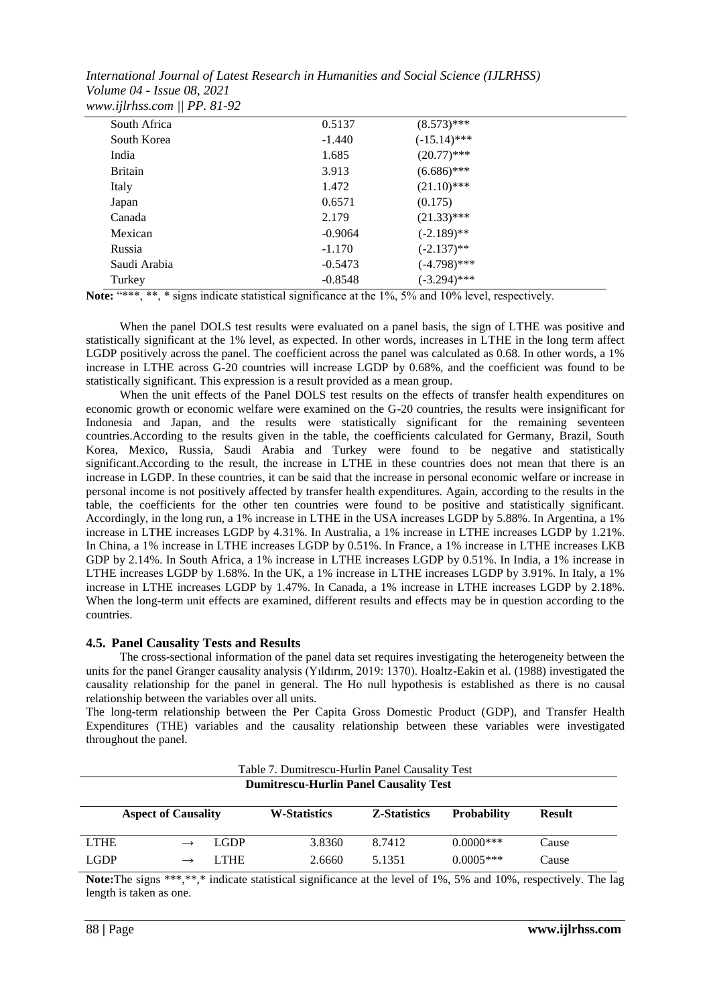| South Africa   | 0.5137    | $(8.573)$ ***  |  |
|----------------|-----------|----------------|--|
| South Korea    | $-1.440$  | $(-15.14)$ *** |  |
| India          | 1.685     | $(20.77)$ ***  |  |
| <b>Britain</b> | 3.913     | $(6.686)$ ***  |  |
| Italy          | 1.472     | $(21.10)$ ***  |  |
| Japan          | 0.6571    | (0.175)        |  |
| Canada         | 2.179     | $(21.33)$ ***  |  |
| Mexican        | $-0.9064$ | $(-2.189)$ **  |  |
| Russia         | $-1.170$  | $(-2.137)$ **  |  |
| Saudi Arabia   | $-0.5473$ | (-4.798)***    |  |
| Turkey         | $-0.8548$ | $(-3.294)$ *** |  |
|                |           |                |  |

Note: "\*\*\*, \*\*, \* signs indicate statistical significance at the 1%, 5% and 10% level, respectively.

When the panel DOLS test results were evaluated on a panel basis, the sign of LTHE was positive and statistically significant at the 1% level, as expected. In other words, increases in LTHE in the long term affect LGDP positively across the panel. The coefficient across the panel was calculated as 0.68. In other words, a 1% increase in LTHE across G-20 countries will increase LGDP by 0.68%, and the coefficient was found to be statistically significant. This expression is a result provided as a mean group.

When the unit effects of the Panel DOLS test results on the effects of transfer health expenditures on economic growth or economic welfare were examined on the G-20 countries, the results were insignificant for Indonesia and Japan, and the results were statistically significant for the remaining seventeen countries.According to the results given in the table, the coefficients calculated for Germany, Brazil, South Korea, Mexico, Russia, Saudi Arabia and Turkey were found to be negative and statistically significant.According to the result, the increase in LTHE in these countries does not mean that there is an increase in LGDP. In these countries, it can be said that the increase in personal economic welfare or increase in personal income is not positively affected by transfer health expenditures. Again, according to the results in the table, the coefficients for the other ten countries were found to be positive and statistically significant. Accordingly, in the long run, a 1% increase in LTHE in the USA increases LGDP by 5.88%. In Argentina, a 1% increase in LTHE increases LGDP by 4.31%. In Australia, a 1% increase in LTHE increases LGDP by 1.21%. In China, a 1% increase in LTHE increases LGDP by 0.51%. In France, a 1% increase in LTHE increases LKB GDP by 2.14%. In South Africa, a 1% increase in LTHE increases LGDP by 0.51%. In India, a 1% increase in LTHE increases LGDP by 1.68%. In the UK, a 1% increase in LTHE increases LGDP by 3.91%. In Italy, a 1% increase in LTHE increases LGDP by 1.47%. In Canada, a 1% increase in LTHE increases LGDP by 2.18%. When the long-term unit effects are examined, different results and effects may be in question according to the countries.

#### **4.5. Panel Causality Tests and Results**

The cross-sectional information of the panel data set requires investigating the heterogeneity between the units for the panel Granger causality analysis (Yıldırım, 2019: 1370). Hoaltz-Eakin et al. (1988) investigated the causality relationship for the panel in general. The Ho null hypothesis is established as there is no causal relationship between the variables over all units.

The long-term relationship between the Per Capita Gross Domestic Product (GDP), and Transfer Health Expenditures (THE) variables and the causality relationship between these variables were investigated throughout the panel.

|             | Table 7. Dumitrescu-Hurlin Panel Causality Test |             |                     |                     |                    |               |  |  |
|-------------|-------------------------------------------------|-------------|---------------------|---------------------|--------------------|---------------|--|--|
|             | <b>Dumitrescu-Hurlin Panel Causality Test</b>   |             |                     |                     |                    |               |  |  |
|             |                                                 |             |                     |                     |                    |               |  |  |
|             | <b>Aspect of Causality</b>                      |             | <b>W-Statistics</b> | <b>Z-Statistics</b> | <b>Probability</b> | <b>Result</b> |  |  |
|             |                                                 |             |                     |                     |                    |               |  |  |
| <b>LTHE</b> |                                                 | <b>LGDP</b> | 3.8360              | 8.7412              | $0.0000$ ***       | Cause         |  |  |
| <b>LGDP</b> |                                                 | LTHE.       | 2.6660              | 5.1351              | $0.0005***$        | Cause         |  |  |

**Note:**The signs \*\*\*,\*\*,\* indicate statistical significance at the level of 1%, 5% and 10%, respectively. The lag length is taken as one.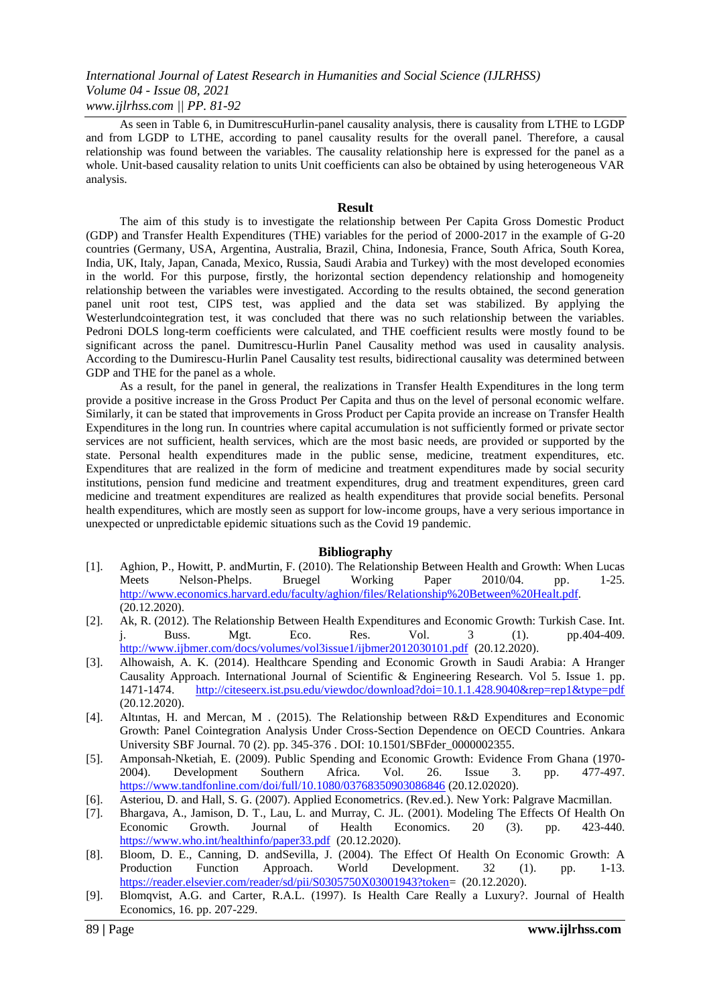As seen in Table 6, in DumitrescuHurlin-panel causality analysis, there is causality from LTHE to LGDP and from LGDP to LTHE, according to panel causality results for the overall panel. Therefore, a causal relationship was found between the variables. The causality relationship here is expressed for the panel as a whole. Unit-based causality relation to units Unit coefficients can also be obtained by using heterogeneous VAR analysis.

#### **Result**

The aim of this study is to investigate the relationship between Per Capita Gross Domestic Product (GDP) and Transfer Health Expenditures (THE) variables for the period of 2000-2017 in the example of G-20 countries (Germany, USA, Argentina, Australia, Brazil, China, Indonesia, France, South Africa, South Korea, India, UK, Italy, Japan, Canada, Mexico, Russia, Saudi Arabia and Turkey) with the most developed economies in the world. For this purpose, firstly, the horizontal section dependency relationship and homogeneity relationship between the variables were investigated. According to the results obtained, the second generation panel unit root test, CIPS test, was applied and the data set was stabilized. By applying the Westerlundcointegration test, it was concluded that there was no such relationship between the variables. Pedroni DOLS long-term coefficients were calculated, and THE coefficient results were mostly found to be significant across the panel. Dumitrescu-Hurlin Panel Causality method was used in causality analysis. According to the Dumirescu-Hurlin Panel Causality test results, bidirectional causality was determined between GDP and THE for the panel as a whole.

As a result, for the panel in general, the realizations in Transfer Health Expenditures in the long term provide a positive increase in the Gross Product Per Capita and thus on the level of personal economic welfare. Similarly, it can be stated that improvements in Gross Product per Capita provide an increase on Transfer Health Expenditures in the long run. In countries where capital accumulation is not sufficiently formed or private sector services are not sufficient, health services, which are the most basic needs, are provided or supported by the state. Personal health expenditures made in the public sense, medicine, treatment expenditures, etc. Expenditures that are realized in the form of medicine and treatment expenditures made by social security institutions, pension fund medicine and treatment expenditures, drug and treatment expenditures, green card medicine and treatment expenditures are realized as health expenditures that provide social benefits. Personal health expenditures, which are mostly seen as support for low-income groups, have a very serious importance in unexpected or unpredictable epidemic situations such as the Covid 19 pandemic.

#### **Bibliography**

- [1]. Aghion, P., Howitt, P. andMurtin, F. (2010). The Relationship Between Health and Growth: When Lucas Meets Nelson-Phelps. Bruegel Working Paper 2010/04. pp. 1-25. [http://www.economics.harvard.edu/faculty/aghion/files/Relationship%20Between%20Healt.pdf.](http://www.economics.harvard.edu/faculty/aghion/files/Relationship%20Between%20Healt.pdf)  $(20.12.2020)$ .
- [2]. Ak, R. (2012). The Relationship Between Health Expenditures and Economic Growth: Turkish Case. Int. j. Buss. Mgt. Eco. Res. Vol. 3 (1). pp.404-409. <http://www.ijbmer.com/docs/volumes/vol3issue1/ijbmer2012030101.pdf>(20.12.2020).
- [3]. Alhowaish, A. K. (2014). Healthcare Spending and Economic Growth in Saudi Arabia: A Hranger Causality Approach. International Journal of Scientific & Engineering Research. Vol 5. Issue 1. pp. 1471-1474. <http://citeseerx.ist.psu.edu/viewdoc/download?doi=10.1.1.428.9040&rep=rep1&type=pdf> (20.12.2020).
- [4]. Altıntas, H. and Mercan, M . (2015). The Relationship between R&D Expenditures and Economic Growth: Panel Cointegration Analysis Under Cross-Section Dependence on OECD Countries. Ankara University SBF Journal. 70 (2). pp. 345-376 . DOI: 10.1501/SBFder\_0000002355.
- [5]. Amponsah-Nketiah, E. (2009). Public Spending and Economic Growth: Evidence From Ghana (1970- 2004). Development Southern Africa. Vol. 26. Issue 3. pp. 477-497. <https://www.tandfonline.com/doi/full/10.1080/03768350903086846> (20.12.02020).
- [6]. Asteriou, D. and Hall, S. G. (2007). Applied Econometrics. (Rev.ed.). New York: Palgrave Macmillan.
- [7]. Bhargava, A., Jamison, D. T., Lau, L. and Murray, C. JL. (2001). Modeling The Effects Of Health On Economic Growth. Journal of Health Economics. 20 (3). pp. 423-440. <https://www.who.int/healthinfo/paper33.pdf>(20.12.2020).
- [8]. Bloom, D. E., Canning, D. andSevilla, J. (2004). The Effect Of Health On Economic Growth: A Production Function Approach. World Development. 32 (1). pp. 1-13. [https://reader.elsevier.com/reader/sd/pii/S0305750X03001943?token=](https://reader.elsevier.com/reader/sd/pii/S0305750X03001943?token) (20.12.2020).
- [9]. Blomqvist, A.G. and Carter, R.A.L. (1997). Is Health Care Really a Luxury?. Journal of Health Economics, 16. pp. 207-229.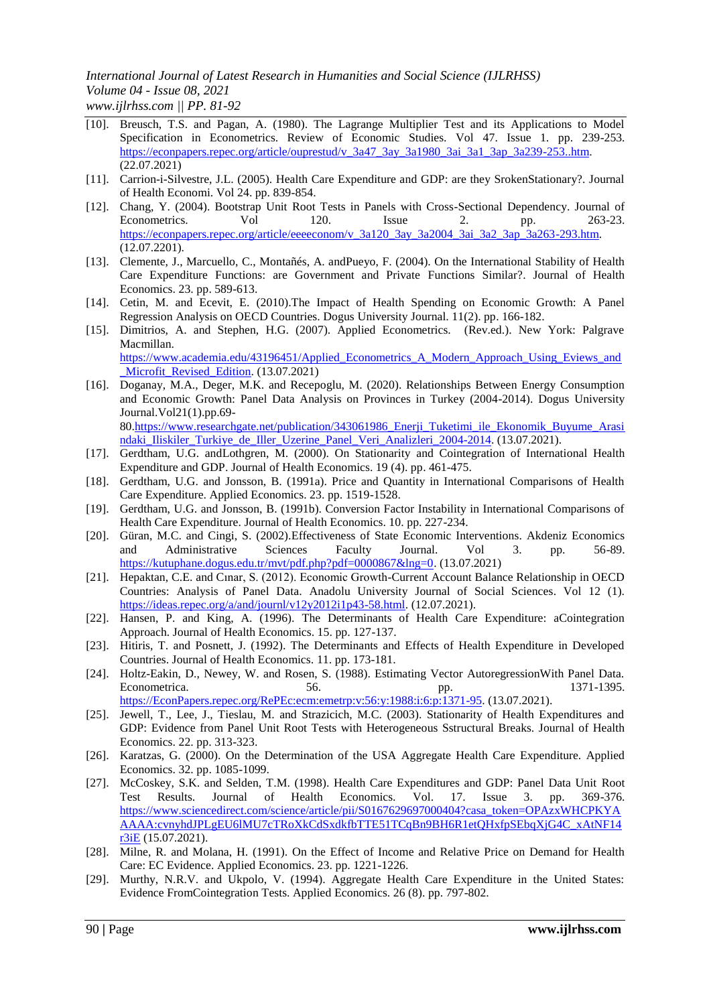- [10]. Breusch, T.S. and Pagan, A. (1980). The Lagrange Multiplier Test and its Applications to Model Specification in Econometrics. Review of Economic Studies. Vol 47. Issue 1. pp. 239-253. [https://econpapers.repec.org/article/ouprestud/v\\_3a47\\_3ay\\_3a1980\\_3ai\\_3a1\\_3ap\\_3a239-253..htm.](https://econpapers.repec.org/article/ouprestud/v_3a47_3ay_3a1980_3ai_3a1_3ap_3a239-253..htm) (22.07.2021)
- [11]. Carrion-i-Silvestre, J.L. (2005). Health Care Expenditure and GDP: are they SrokenStationary?. Journal of Health Economi. Vol 24. pp. 839-854.
- [12]. Chang, Y. (2004). Bootstrap Unit Root Tests in Panels with Cross-Sectional Dependency. Journal of Econometrics. Vol 120. Issue 2. pp. 263-23. [https://econpapers.repec.org/article/eeeeconom/v\\_3a120\\_3ay\\_3a2004\\_3ai\\_3a2\\_3ap\\_3a263-293.htm.](https://econpapers.repec.org/article/eeeeconom/v_3a120_3ay_3a2004_3ai_3a2_3ap_3a263-293.htm) (12.07.2201).
- [13]. Clemente, J., Marcuello, C., Montañés, A. andPueyo, F. (2004). On the International Stability of Health Care Expenditure Functions: are Government and Private Functions Similar?. Journal of Health Economics. 23. pp. 589-613.
- [14]. Cetin, M. and Ecevit, E. (2010).The Impact of Health Spending on Economic Growth: A Panel Regression Analysis on OECD Countries. Dogus University Journal. 11(2). pp. 166-182.
- [15]. Dimitrios, A. and Stephen, H.G. (2007). Applied Econometrics. (Rev.ed.). New York: Palgrave Macmillan. [https://www.academia.edu/43196451/Applied\\_Econometrics\\_A\\_Modern\\_Approach\\_Using\\_Eviews\\_and](https://www.academia.edu/43196451/Applied_Econometrics_A_Modern_Approach_Using_Eviews_and_Microfit_Revised_Edition) Microfit Revised Edition. (13.07.2021)
- [16]. Doganay, M.A., Deger, M.K. and Recepoglu, M. (2020). Relationships Between Energy Consumption and Economic Growth: Panel Data Analysis on Provinces in Turkey (2004-2014). Dogus University Journal.Vol21(1).pp.69- 80[.https://www.researchgate.net/publication/343061986\\_Enerji\\_Tuketimi\\_ile\\_Ekonomik\\_Buyume\\_Arasi](https://www.researchgate.net/publication/343061986_Enerji_Tuketimi_ile_Ekonomik_Buyume_Arasindaki_Iliskiler_Turkiye_de_Iller_Uzerine_Panel_Veri_Analizleri_2004-2014)

ndaki Iliskiler Turkiye de Iller Uzerine Panel Veri Analizleri 2004-2014. (13.07.2021).

- [17]. Gerdtham, U.G. andLothgren, M. (2000). On Stationarity and Cointegration of International Health Expenditure and GDP. Journal of Health Economics. 19 (4). pp. 461-475.
- [18]. Gerdtham, U.G. and Jonsson, B. (1991a). Price and Quantity in International Comparisons of Health Care Expenditure. Applied Economics. 23. pp. 1519-1528.
- [19]. Gerdtham, U.G. and Jonsson, B. (1991b). Conversion Factor Instability in International Comparisons of Health Care Expenditure. Journal of Health Economics. 10. pp. 227-234.
- [20]. Güran, M.C. and Cingi, S. (2002).Effectiveness of State Economic Interventions. Akdeniz Economics and Administrative Sciences Faculty Journal. Vol 3. pp. 56-89. [https://kutuphane.dogus.edu.tr/mvt/pdf.php?pdf=0000867&lng=0.](https://kutuphane.dogus.edu.tr/mvt/pdf.php?pdf=0000867&lng=0) (13.07.2021)
- [21]. Hepaktan, C.E. and Cınar, S. (2012). Economic Growth-Current Account Balance Relationship in OECD Countries: Analysis of Panel Data. Anadolu University Journal of Social Sciences. Vol 12 (1). [https://ideas.repec.org/a/and/journl/v12y2012i1p43-58.html.](https://ideas.repec.org/a/and/journl/v12y2012i1p43-58.html) (12.07.2021).
- [22]. Hansen, P. and King, A. (1996). The Determinants of Health Care Expenditure: aCointegration Approach. Journal of Health Economics. 15. pp. 127-137.
- [23]. Hitiris, T. and Posnett, J. (1992). The Determinants and Effects of Health Expenditure in Developed Countries. Journal of Health Economics. 11. pp. 173-181.
- [24]. Holtz-Eakin, D., Newey, W. and Rosen, S. (1988). Estimating Vector AutoregressionWith Panel Data. Econometrica. 656. 56. pp. 1371-1395. [https://EconPapers.repec.org/RePEc:ecm:emetrp:v:56:y:1988:i:6:p:1371-95.](https://econpapers.repec.org/RePEc:ecm:emetrp:v:56:y:1988:i:6:p:1371-95) (13.07.2021).
- [25]. Jewell, T., Lee, J., Tieslau, M. and Strazicich, M.C. (2003). Stationarity of Health Expenditures and GDP: Evidence from Panel Unit Root Tests with Heterogeneous Sstructural Breaks. Journal of Health Economics. 22. pp. 313-323.
- [26]. Karatzas, G. (2000). On the Determination of the USA Aggregate Health Care Expenditure. Applied Economics. 32. pp. 1085-1099.
- [27]. McCoskey, S.K. and Selden, T.M. (1998). Health Care Expenditures and GDP: Panel Data Unit Root Test Results. Journal of Health Economics. Vol. 17. Issue 3. pp. 369-376. [https://www.sciencedirect.com/science/article/pii/S0167629697000404?casa\\_token=OPAzxWHCPKYA](https://www.sciencedirect.com/science/article/pii/S0167629697000404?casa_token=OPAzxWHCPKYAAAAA:cvnyhdJPLgEU6lMU7cTRoXkCdSxdkfbTTE51TCqBn9BH6R1etQHxfpSEbqXjG4C_xAtNF14r3iE) [AAAA:cvnyhdJPLgEU6lMU7cTRoXkCdSxdkfbTTE51TCqBn9BH6R1etQHxfpSEbqXjG4C\\_xAtNF14](https://www.sciencedirect.com/science/article/pii/S0167629697000404?casa_token=OPAzxWHCPKYAAAAA:cvnyhdJPLgEU6lMU7cTRoXkCdSxdkfbTTE51TCqBn9BH6R1etQHxfpSEbqXjG4C_xAtNF14r3iE)  $r3iE(15.07.2021)$  $r3iE(15.07.2021)$ .
- [28]. Milne, R. and Molana, H. (1991). On the Effect of Income and Relative Price on Demand for Health Care: EC Evidence. Applied Economics. 23. pp. 1221-1226.
- [29]. Murthy, N.R.V. and Ukpolo, V. (1994). Aggregate Health Care Expenditure in the United States: Evidence FromCointegration Tests. Applied Economics. 26 (8). pp. 797-802.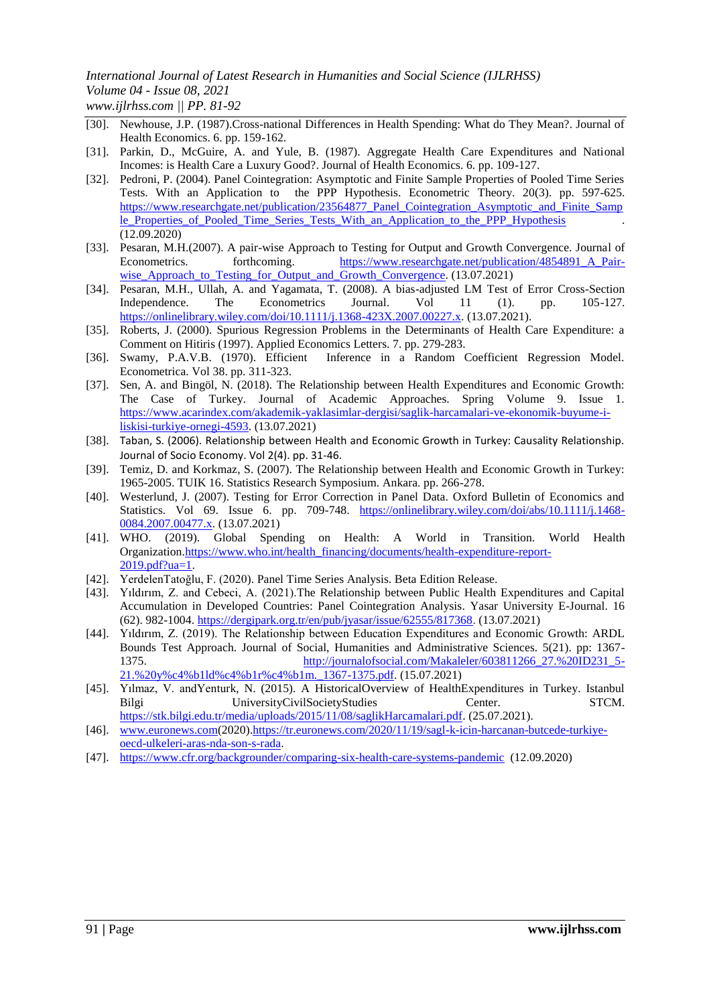- [30]. Newhouse, J.P. (1987).Cross-national Differences in Health Spending: What do They Mean?. Journal of Health Economics. 6. pp. 159-162.
- [31]. Parkin, D., McGuire, A. and Yule, B. (1987). Aggregate Health Care Expenditures and National Incomes: is Health Care a Luxury Good?. Journal of Health Economics. 6. pp. 109-127.
- [32]. Pedroni, P. (2004). Panel Cointegration: Asymptotic and Finite Sample Properties of Pooled Time Series Tests. With an Application to the PPP Hypothesis. Econometric Theory. 20(3). pp. 597-625. [https://www.researchgate.net/publication/23564877\\_Panel\\_Cointegration\\_Asymptotic\\_and\\_Finite\\_Samp](https://www.researchgate.net/publication/23564877_Panel_Cointegration_Asymptotic_and_Finite_Sample_Properties_of_Pooled_Time_Series_Tests_With_an_Application_to_the_PPP_Hypothesis) le Properties of Pooled Time Series Tests With an Application to the PPP Hypothesis (12.09.2020)
- [33]. Pesaran, M.H.(2007). A pair-wise Approach to Testing for Output and Growth Convergence. Journal of Econometrics. forthcoming. https://www.researchgate.net/publication/4854891 A Pairwise Approach to Testing for Output and Growth Convergence. (13.07.2021)
- [34]. Pesaran, M.H., Ullah, A. and Yagamata, T. (2008). A bias-adjusted LM Test of Error Cross-Section Independence. The Econometrics Journal. Vol 11 (1). pp. 105-127. [https://onlinelibrary.wiley.com/doi/10.1111/j.1368-423X.2007.00227.x.](https://onlinelibrary.wiley.com/doi/10.1111/j.1368-423X.2007.00227.x) (13.07.2021).
- [35]. Roberts, J. (2000). Spurious Regression Problems in the Determinants of Health Care Expenditure: a Comment on Hitiris (1997). Applied Economics Letters. 7. pp. 279-283.
- [36]. Swamy, P.A.V.B. (1970). Efficient Inference in a Random Coefficient Regression Model. Econometrica. Vol 38. pp. 311-323.
- [37]. Sen, A. and Bingöl, N. (2018). The Relationship between Health Expenditures and Economic Growth: The Case of Turkey. Journal of Academic Approaches. Spring Volume 9. Issue 1. [https://www.acarindex.com/akademik-yaklasimlar-dergisi/saglik-harcamalari-ve-ekonomik-buyume-i](https://www.acarindex.com/akademik-yaklasimlar-dergisi/saglik-harcamalari-ve-ekonomik-buyume-i-liskisi-turkiye-ornegi-4593)[liskisi-turkiye-ornegi-4593.](https://www.acarindex.com/akademik-yaklasimlar-dergisi/saglik-harcamalari-ve-ekonomik-buyume-i-liskisi-turkiye-ornegi-4593) (13.07.2021)
- [38]. Taban, S. (2006). Relationship between Health and Economic Growth in Turkey: Causality Relationship. Journal of Socio Economy. Vol 2(4). pp. 31-46.
- [39]. Temiz, D. and Korkmaz, S. (2007). The Relationship between Health and Economic Growth in Turkey: 1965-2005. TUIK 16. Statistics Research Symposium. Ankara. pp. 266-278.
- [40]. Westerlund, J. (2007). Testing for Error Correction in Panel Data. Oxford Bulletin of Economics and Statistics. Vol 69. Issue 6. pp. 709-748. [https://onlinelibrary.wiley.com/doi/abs/10.1111/j.1468-](https://onlinelibrary.wiley.com/doi/abs/10.1111/j.1468-0084.2007.00477.x) [0084.2007.00477.x.](https://onlinelibrary.wiley.com/doi/abs/10.1111/j.1468-0084.2007.00477.x) (13.07.2021)
- [41]. WHO. (2019). Global Spending on Health: A World in Transition. World Health Organization[.https://www.who.int/health\\_financing/documents/health-expenditure-report-](https://www.who.int/health_financing/documents/health-expenditure-report-2019.pdf?ua=1)[2019.pdf?ua=1.](https://www.who.int/health_financing/documents/health-expenditure-report-2019.pdf?ua=1)
- [42]. YerdelenTatoğlu, F. (2020). Panel Time Series Analysis. Beta Edition Release.
- [43]. Yıldırım, Z. and Cebeci, A. (2021).The Relationship between Public Health Expenditures and Capital Accumulation in Developed Countries: Panel Cointegration Analysis. Yasar University E-Journal. 16 (62). 982-1004. [https://dergipark.org.tr/en/pub/jyasar/issue/62555/817368.](https://dergipark.org.tr/en/pub/jyasar/issue/62555/817368) (13.07.2021)
- [44]. Yıldırım, Z. (2019). The Relationship between Education Expenditures and Economic Growth: ARDL Bounds Test Approach. Journal of Social, Humanities and Administrative Sciences. 5(21). pp: 1367- 1375. [http://journalofsocial.com/Makaleler/603811266\\_27.%20ID231\\_5-](http://journalofsocial.com/Makaleler/603811266_27.%20ID231_5-21.%20y%c4%b1ld%c4%b1r%c4%b1m._1367-1375.pdf) [21.%20y%c4%b1ld%c4%b1r%c4%b1m.\\_1367-1375.pdf.](http://journalofsocial.com/Makaleler/603811266_27.%20ID231_5-21.%20y%c4%b1ld%c4%b1r%c4%b1m._1367-1375.pdf) (15.07.2021)
- [45]. Yılmaz, V. andYenturk, N. (2015). A HistoricalOverview of HealthExpenditures in Turkey. Istanbul Bilgi UniversityCivilSocietyStudies Center. STCM. [https://stk.bilgi.edu.tr/media/uploads/2015/11/08/saglikHarcamalari.pdf.](https://stk.bilgi.edu.tr/media/uploads/2015/11/08/saglikHarcamalari.pdf) (25.07.2021).
- [46]. [www.euronews.com\(](http://www.euronews.com/)2020[\).https://tr.euronews.com/2020/11/19/sagl-k-icin-harcanan-butcede-turkiye](https://tr.euronews.com/2020/11/19/sagl-k-icin-harcanan-butcede-turkiye-oecd-ulkeleri-aras-nda-son-s-rada)[oecd-ulkeleri-aras-nda-son-s-rada.](https://tr.euronews.com/2020/11/19/sagl-k-icin-harcanan-butcede-turkiye-oecd-ulkeleri-aras-nda-son-s-rada)
- [47]. <https://www.cfr.org/backgrounder/comparing-six-health-care-systems-pandemic>(12.09.2020)